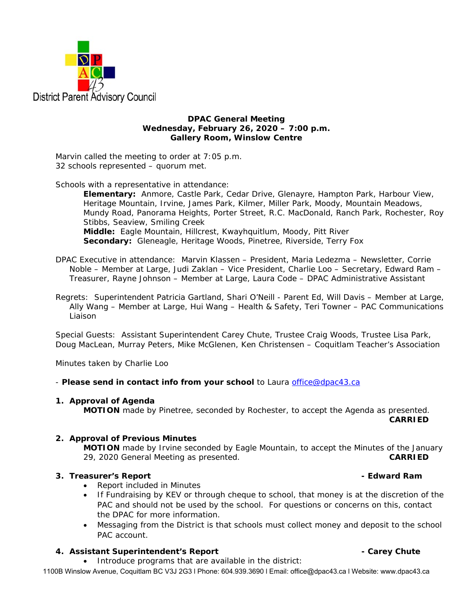

**DPAC General Meeting Wednesday, February 26, 2020 – 7:00 p.m. Gallery Room, Winslow Centre** 

Marvin called the meeting to order at 7:05 p.m. 32 schools represented – quorum met.

Schools with a representative in attendance:

**Elementary:** Anmore, Castle Park, Cedar Drive, Glenayre, Hampton Park, Harbour View, Heritage Mountain, Irvine, James Park, Kilmer, Miller Park, Moody, Mountain Meadows, Mundy Road, Panorama Heights, Porter Street, R.C. MacDonald, Ranch Park, Rochester, Roy Stibbs, Seaview, Smiling Creek **Middle:** Eagle Mountain, Hillcrest, Kwayhquitlum, Moody, Pitt River **Secondary:** Gleneagle, Heritage Woods, Pinetree, Riverside, Terry Fox

DPAC Executive in attendance: Marvin Klassen – President, Maria Ledezma – Newsletter, Corrie Noble – Member at Large, Judi Zaklan – Vice President, Charlie Loo – Secretary, Edward Ram – Treasurer, Rayne Johnson – Member at Large, Laura Code – DPAC Administrative Assistant

Regrets: Superintendent Patricia Gartland, Shari O'Neill - Parent Ed, Will Davis – Member at Large, Ally Wang – Member at Large, Hui Wang – Health & Safety, Teri Towner – PAC Communications Liaison

Special Guests: Assistant Superintendent Carey Chute, Trustee Craig Woods, Trustee Lisa Park, Doug MacLean, Murray Peters, Mike McGlenen, Ken Christensen – Coquitlam Teacher's Association

Minutes taken by Charlie Loo

- *Please send in contact info from your school* to Laura office@dpac43.ca

## **1. Approval of Agenda**

**MOTION** made by *Pinetree*, seconded by *Rochester*, to accept the Agenda as presented. **CARRIED** 

## **2. Approval of Previous Minutes**

 **MOTION** made by *Irvine* seconded by *Eagle Mountain*, to accept the Minutes of the January 29, 2020 General Meeting as presented. **CARRIED** 

## **3. Treasurer's Report Contract Contract Contract Contract Contract Contract Contract Contract Contract Contract Contract Contract Contract Contract Contract Contract Contract Contract Contract Contract Contract Contra**

- Report included in Minutes
- If Fundraising by KEV or through cheque to school, that money is at the discretion of the PAC and should not be used by the school. For questions or concerns on this, contact the DPAC for more information.
- Messaging from the District is that schools must collect money and deposit to the school PAC account.

## **4.** Assistant Superintendent's Report **1. Assistant Superintendent's Report 1. Assistant Superintendent's** Report

Introduce programs that are available in the district:

1100B Winslow Avenue, Coquitlam BC V3J 2G3 l Phone: 604.939.3690 l Email: office@dpac43.ca l Website: www.dpac43.ca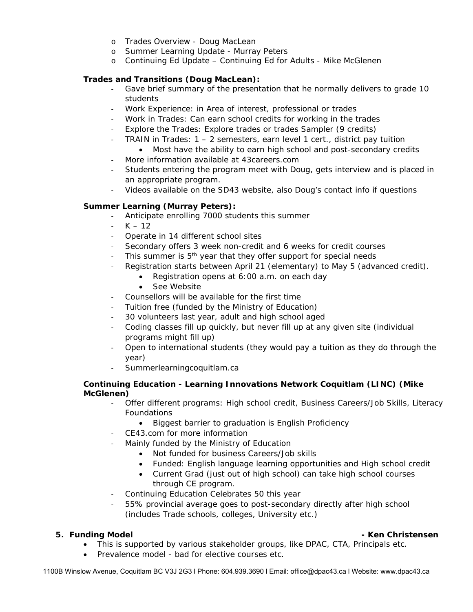- o Trades Overview Doug MacLean
- o Summer Learning Update Murray Peters
- o Continuing Ed Update Continuing Ed for Adults Mike McGlenen

# **Trades and Transitions (Doug MacLean):**

- ‐ Gave brief summary of the presentation that he normally delivers to grade 10 students
- ‐ Work Experience: in Area of interest, professional or trades
- ‐ Work in Trades: Can earn school credits for working in the trades
- ‐ Explore the Trades: Explore trades or trades Sampler (9 credits)
- ‐ TRAIN in Trades: 1 2 semesters, earn level 1 cert., district pay tuition
	- Most have the ability to earn high school and post-secondary credits
- ‐ More information available at 43careers.com
- ‐ Students entering the program meet with Doug, gets interview and is placed in an appropriate program.
- ‐ Videos available on the SD43 website, also Doug's contact info if questions

# **Summer Learning (Murray Peters):**

- ‐ Anticipate enrolling 7000 students this summer
- $K 12$
- ‐ Operate in 14 different school sites
- Secondary offers 3 week non-credit and 6 weeks for credit courses
- This summer is 5<sup>th</sup> year that they offer support for special needs
- ‐ Registration starts between April 21 (elementary) to May 5 (advanced credit).
	- Registration opens at 6:00 a.m. on each day
		- See Website
- ‐ Counsellors will be available for the first time
- ‐ Tuition free (funded by the Ministry of Education)
- ‐ 30 volunteers last year, adult and high school aged
- ‐ Coding classes fill up quickly, but never fill up at any given site (individual programs might fill up)
- ‐ Open to international students (they would pay a tuition as they do through the year)
- ‐ Summerlearningcoquitlam.ca

## **Continuing Education - Learning Innovations Network Coquitlam (LINC) (Mike McGlenen)**

- ‐ Offer different programs: High school credit, Business Careers/Job Skills, Literacy **Foundations** 
	- Biggest barrier to graduation is English Proficiency
- ‐ CE43.com for more information
- ‐ Mainly funded by the Ministry of Education
	- Not funded for business Careers/Job skills
	- Funded: English language learning opportunities and High school credit
	- Current Grad (just out of high school) can take high school courses through CE program.
- ‐ Continuing Education Celebrates 50 this year
- ‐ 55% provincial average goes to post-secondary directly after high school (includes Trade schools, colleges, University etc.)

- This is supported by various stakeholder groups, like DPAC, CTA, Principals etc.
- Prevalence model bad for elective courses etc.

1100B Winslow Avenue, Coquitlam BC V3J 2G3 l Phone: 604.939.3690 l Email: office@dpac43.ca l Website: www.dpac43.ca

## **5. Funding Model - Ken Christensen**